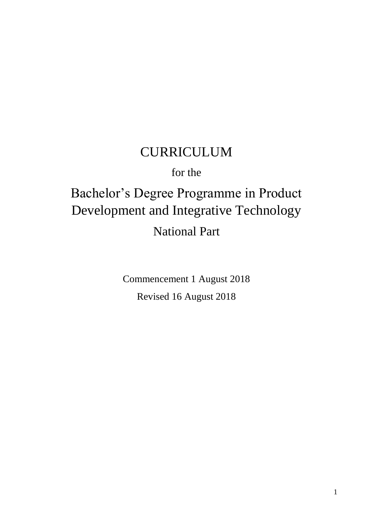## CURRICULUM

for the

# Bachelor's Degree Programme in Product Development and Integrative Technology National Part

Commencement 1 August 2018 Revised 16 August 2018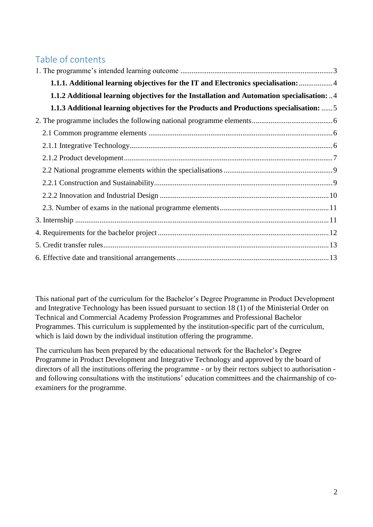## Table of contents

| 1.1.1. Additional learning objectives for the IT and Electronics specialisation:  4        |
|--------------------------------------------------------------------------------------------|
| 1.1.2 Additional learning objectives for the Installation and Automation specialisation: 4 |
| 1.1.3 Additional learning objectives for the Products and Productions specialisation:  5   |
|                                                                                            |
|                                                                                            |
|                                                                                            |
|                                                                                            |
|                                                                                            |
|                                                                                            |
|                                                                                            |
|                                                                                            |
|                                                                                            |
|                                                                                            |
|                                                                                            |
|                                                                                            |

This national part of the curriculum for the Bachelor's Degree Programme in Product Development and Integrative Technology has been issued pursuant to section 18 (1) of the Ministerial Order on Technical and Commercial Academy Profession Programmes and Professional Bachelor Programmes. This curriculum is supplemented by the institution-specific part of the curriculum, which is laid down by the individual institution offering the programme.

The curriculum has been prepared by the educational network for the Bachelor's Degree Programme in Product Development and Integrative Technology and approved by the board of directors of all the institutions offering the programme - or by their rectors subject to authorisation and following consultations with the institutions' education committees and the chairmanship of coexaminers for the programme.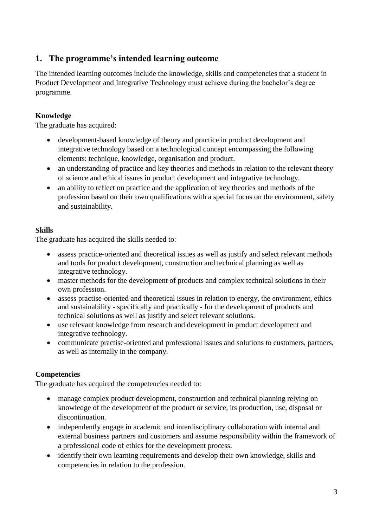## <span id="page-2-0"></span>**1. The programme's intended learning outcome**

The intended learning outcomes include the knowledge, skills and competencies that a student in Product Development and Integrative Technology must achieve during the bachelor's degree programme.

#### **Knowledge**

The graduate has acquired:

- development-based knowledge of theory and practice in product development and integrative technology based on a technological concept encompassing the following elements: technique, knowledge, organisation and product.
- an understanding of practice and key theories and methods in relation to the relevant theory of science and ethical issues in product development and integrative technology.
- an ability to reflect on practice and the application of key theories and methods of the profession based on their own qualifications with a special focus on the environment, safety and sustainability.

#### **Skills**

The graduate has acquired the skills needed to:

- assess practice-oriented and theoretical issues as well as justify and select relevant methods and tools for product development, construction and technical planning as well as integrative technology.
- master methods for the development of products and complex technical solutions in their own profession.
- assess practise-oriented and theoretical issues in relation to energy, the environment, ethics and sustainability - specifically and practically - for the development of products and technical solutions as well as justify and select relevant solutions.
- use relevant knowledge from research and development in product development and integrative technology.
- communicate practise-oriented and professional issues and solutions to customers, partners, as well as internally in the company.

#### **Competencies**

The graduate has acquired the competencies needed to:

- manage complex product development, construction and technical planning relying on knowledge of the development of the product or service, its production, use, disposal or discontinuation.
- independently engage in academic and interdisciplinary collaboration with internal and external business partners and customers and assume responsibility within the framework of a professional code of ethics for the development process.
- identify their own learning requirements and develop their own knowledge, skills and competencies in relation to the profession.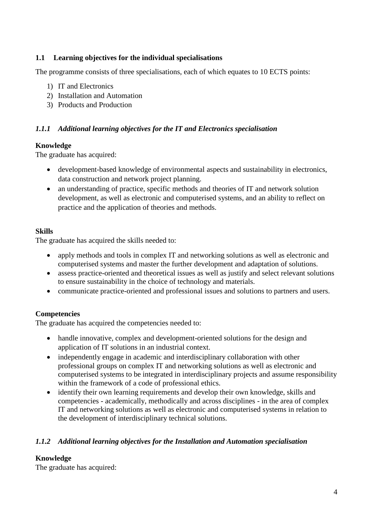#### **1.1 Learning objectives for the individual specialisations**

The programme consists of three specialisations, each of which equates to 10 ECTS points:

- 1) IT and Electronics
- 2) Installation and Automation
- 3) Products and Production

#### <span id="page-3-0"></span>*1.1.1 Additional learning objectives for the IT and Electronics specialisation*

#### **Knowledge**

The graduate has acquired:

- development-based knowledge of environmental aspects and sustainability in electronics, data construction and network project planning.
- an understanding of practice, specific methods and theories of IT and network solution development, as well as electronic and computerised systems, and an ability to reflect on practice and the application of theories and methods.

#### **Skills**

The graduate has acquired the skills needed to:

- apply methods and tools in complex IT and networking solutions as well as electronic and computerised systems and master the further development and adaptation of solutions.
- assess practice-oriented and theoretical issues as well as justify and select relevant solutions to ensure sustainability in the choice of technology and materials.
- communicate practice-oriented and professional issues and solutions to partners and users.

#### **Competencies**

The graduate has acquired the competencies needed to:

- handle innovative, complex and development-oriented solutions for the design and application of IT solutions in an industrial context.
- independently engage in academic and interdisciplinary collaboration with other professional groups on complex IT and networking solutions as well as electronic and computerised systems to be integrated in interdisciplinary projects and assume responsibility within the framework of a code of professional ethics.
- identify their own learning requirements and develop their own knowledge, skills and competencies - academically, methodically and across disciplines - in the area of complex IT and networking solutions as well as electronic and computerised systems in relation to the development of interdisciplinary technical solutions.

#### <span id="page-3-1"></span>*1.1.2 Additional learning objectives for the Installation and Automation specialisation*

#### **Knowledge**

The graduate has acquired: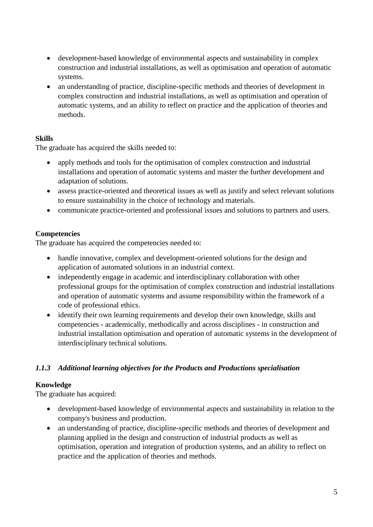- development-based knowledge of environmental aspects and sustainability in complex construction and industrial installations, as well as optimisation and operation of automatic systems.
- an understanding of practice, discipline-specific methods and theories of development in complex construction and industrial installations, as well as optimisation and operation of automatic systems, and an ability to reflect on practice and the application of theories and methods.

#### **Skills**

The graduate has acquired the skills needed to:

- apply methods and tools for the optimisation of complex construction and industrial installations and operation of automatic systems and master the further development and adaptation of solutions.
- assess practice-oriented and theoretical issues as well as justify and select relevant solutions to ensure sustainability in the choice of technology and materials.
- communicate practice-oriented and professional issues and solutions to partners and users.

#### **Competencies**

The graduate has acquired the competencies needed to:

- handle innovative, complex and development-oriented solutions for the design and application of automated solutions in an industrial context.
- independently engage in academic and interdisciplinary collaboration with other professional groups for the optimisation of complex construction and industrial installations and operation of automatic systems and assume responsibility within the framework of a code of professional ethics.
- identify their own learning requirements and develop their own knowledge, skills and competencies - academically, methodically and across disciplines - in construction and industrial installation optimisation and operation of automatic systems in the development of interdisciplinary technical solutions.

#### <span id="page-4-0"></span>*1.1.3 Additional learning objectives for the Products and Productions specialisation*

#### **Knowledge**

The graduate has acquired:

- development-based knowledge of environmental aspects and sustainability in relation to the company's business and production.
- an understanding of practice, discipline-specific methods and theories of development and planning applied in the design and construction of industrial products as well as optimisation, operation and integration of production systems, and an ability to reflect on practice and the application of theories and methods.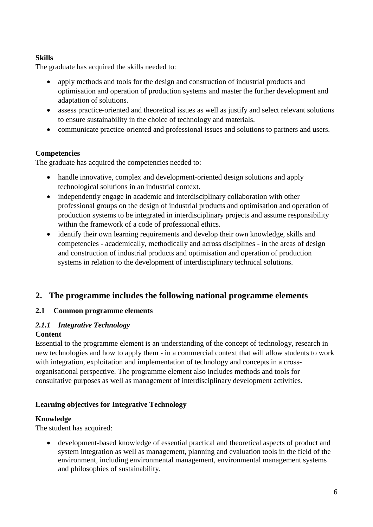#### **Skills**

The graduate has acquired the skills needed to:

- apply methods and tools for the design and construction of industrial products and optimisation and operation of production systems and master the further development and adaptation of solutions.
- assess practice-oriented and theoretical issues as well as justify and select relevant solutions to ensure sustainability in the choice of technology and materials.
- communicate practice-oriented and professional issues and solutions to partners and users.

#### **Competencies**

The graduate has acquired the competencies needed to:

- handle innovative, complex and development-oriented design solutions and apply technological solutions in an industrial context.
- independently engage in academic and interdisciplinary collaboration with other professional groups on the design of industrial products and optimisation and operation of production systems to be integrated in interdisciplinary projects and assume responsibility within the framework of a code of professional ethics.
- identify their own learning requirements and develop their own knowledge, skills and competencies - academically, methodically and across disciplines - in the areas of design and construction of industrial products and optimisation and operation of production systems in relation to the development of interdisciplinary technical solutions.

#### <span id="page-5-0"></span>**2. The programme includes the following national programme elements**

#### <span id="page-5-1"></span>**2.1 Common programme elements**

#### <span id="page-5-2"></span>*2.1.1 Integrative Technology* **Content**

Essential to the programme element is an understanding of the concept of technology, research in new technologies and how to apply them - in a commercial context that will allow students to work with integration, exploitation and implementation of technology and concepts in a crossorganisational perspective. The programme element also includes methods and tools for consultative purposes as well as management of interdisciplinary development activities.

#### **Learning objectives for Integrative Technology**

#### **Knowledge**

The student has acquired:

 development-based knowledge of essential practical and theoretical aspects of product and system integration as well as management, planning and evaluation tools in the field of the environment, including environmental management, environmental management systems and philosophies of sustainability.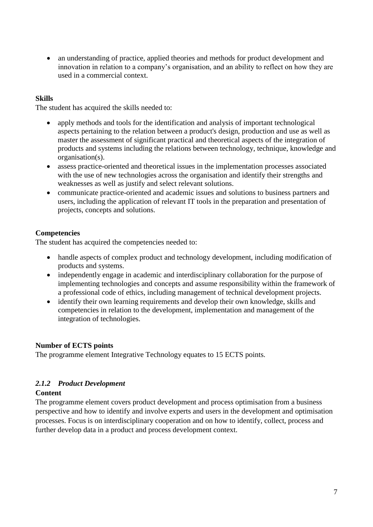• an understanding of practice, applied theories and methods for product development and innovation in relation to a company's organisation, and an ability to reflect on how they are used in a commercial context.

#### **Skills**

The student has acquired the skills needed to:

- apply methods and tools for the identification and analysis of important technological aspects pertaining to the relation between a product's design, production and use as well as master the assessment of significant practical and theoretical aspects of the integration of products and systems including the relations between technology, technique, knowledge and organisation(s).
- assess practice-oriented and theoretical issues in the implementation processes associated with the use of new technologies across the organisation and identify their strengths and weaknesses as well as justify and select relevant solutions.
- communicate practice-oriented and academic issues and solutions to business partners and users, including the application of relevant IT tools in the preparation and presentation of projects, concepts and solutions.

#### **Competencies**

The student has acquired the competencies needed to:

- handle aspects of complex product and technology development, including modification of products and systems.
- independently engage in academic and interdisciplinary collaboration for the purpose of implementing technologies and concepts and assume responsibility within the framework of a professional code of ethics, including management of technical development projects.
- identify their own learning requirements and develop their own knowledge, skills and competencies in relation to the development, implementation and management of the integration of technologies.

#### **Number of ECTS points**

The programme element Integrative Technology equates to 15 ECTS points.

#### <span id="page-6-0"></span>*2.1.2 Product Development*

#### **Content**

The programme element covers product development and process optimisation from a business perspective and how to identify and involve experts and users in the development and optimisation processes. Focus is on interdisciplinary cooperation and on how to identify, collect, process and further develop data in a product and process development context.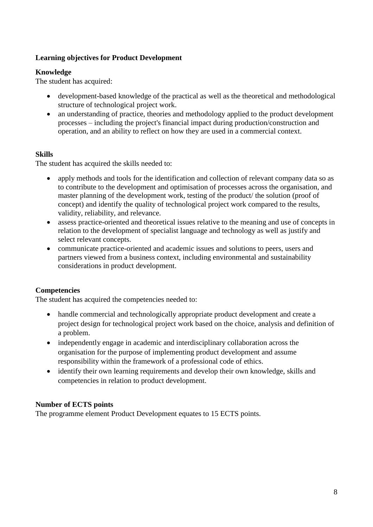#### **Learning objectives for Product Development**

#### **Knowledge**

The student has acquired:

- development-based knowledge of the practical as well as the theoretical and methodological structure of technological project work.
- an understanding of practice, theories and methodology applied to the product development processes – including the project's financial impact during production/construction and operation, and an ability to reflect on how they are used in a commercial context.

#### **Skills**

The student has acquired the skills needed to:

- apply methods and tools for the identification and collection of relevant company data so as to contribute to the development and optimisation of processes across the organisation, and master planning of the development work, testing of the product/ the solution (proof of concept) and identify the quality of technological project work compared to the results, validity, reliability, and relevance.
- assess practice-oriented and theoretical issues relative to the meaning and use of concepts in relation to the development of specialist language and technology as well as justify and select relevant concepts.
- communicate practice-oriented and academic issues and solutions to peers, users and partners viewed from a business context, including environmental and sustainability considerations in product development.

#### **Competencies**

The student has acquired the competencies needed to:

- handle commercial and technologically appropriate product development and create a project design for technological project work based on the choice, analysis and definition of a problem.
- independently engage in academic and interdisciplinary collaboration across the organisation for the purpose of implementing product development and assume responsibility within the framework of a professional code of ethics.
- identify their own learning requirements and develop their own knowledge, skills and competencies in relation to product development.

#### **Number of ECTS points**

The programme element Product Development equates to 15 ECTS points.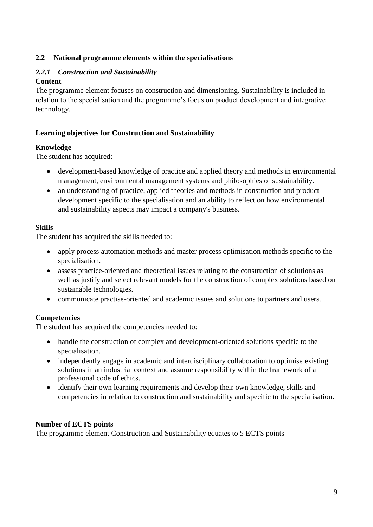#### <span id="page-8-0"></span>**2.2 National programme elements within the specialisations**

#### <span id="page-8-1"></span>*2.2.1 Construction and Sustainability*

#### **Content**

The programme element focuses on construction and dimensioning. Sustainability is included in relation to the specialisation and the programme's focus on product development and integrative technology.

#### **Learning objectives for Construction and Sustainability**

#### **Knowledge**

The student has acquired:

- development-based knowledge of practice and applied theory and methods in environmental management, environmental management systems and philosophies of sustainability.
- an understanding of practice, applied theories and methods in construction and product development specific to the specialisation and an ability to reflect on how environmental and sustainability aspects may impact a company's business.

#### **Skills**

The student has acquired the skills needed to:

- apply process automation methods and master process optimisation methods specific to the specialisation.
- assess practice-oriented and theoretical issues relating to the construction of solutions as well as justify and select relevant models for the construction of complex solutions based on sustainable technologies.
- communicate practise-oriented and academic issues and solutions to partners and users.

#### **Competencies**

The student has acquired the competencies needed to:

- handle the construction of complex and development-oriented solutions specific to the specialisation.
- independently engage in academic and interdisciplinary collaboration to optimise existing solutions in an industrial context and assume responsibility within the framework of a professional code of ethics.
- identify their own learning requirements and develop their own knowledge, skills and competencies in relation to construction and sustainability and specific to the specialisation.

#### **Number of ECTS points**

The programme element Construction and Sustainability equates to 5 ECTS points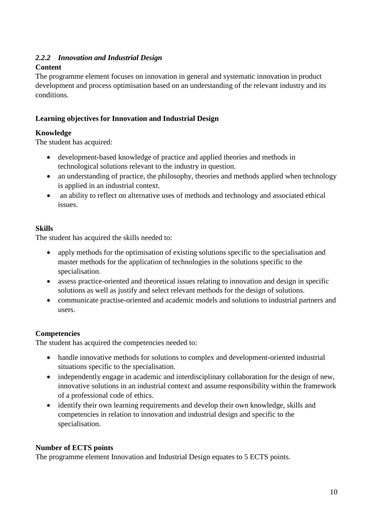#### <span id="page-9-0"></span>*2.2.2 Innovation and Industrial Design*

#### **Content**

The programme element focuses on innovation in general and systematic innovation in product development and process optimisation based on an understanding of the relevant industry and its conditions.

#### **Learning objectives for Innovation and Industrial Design**

#### **Knowledge**

The student has acquired:

- development-based knowledge of practice and applied theories and methods in technological solutions relevant to the industry in question.
- an understanding of practice, the philosophy, theories and methods applied when technology is applied in an industrial context.
- an ability to reflect on alternative uses of methods and technology and associated ethical issues.

#### **Skills**

The student has acquired the skills needed to:

- apply methods for the optimisation of existing solutions specific to the specialisation and master methods for the application of technologies in the solutions specific to the specialisation.
- assess practice-oriented and theoretical issues relating to innovation and design in specific solutions as well as justify and select relevant methods for the design of solutions.
- communicate practise-oriented and academic models and solutions to industrial partners and users.

#### **Competencies**

The student has acquired the competencies needed to:

- handle innovative methods for solutions to complex and development-oriented industrial situations specific to the specialisation.
- independently engage in academic and interdisciplinary collaboration for the design of new, innovative solutions in an industrial context and assume responsibility within the framework of a professional code of ethics.
- identify their own learning requirements and develop their own knowledge, skills and competencies in relation to innovation and industrial design and specific to the specialisation.

#### **Number of ECTS points**

The programme element Innovation and Industrial Design equates to 5 ECTS points.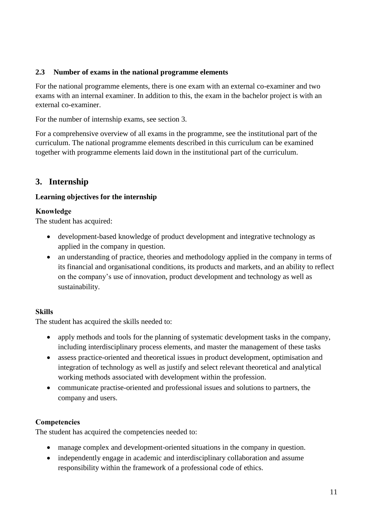#### <span id="page-10-0"></span>**2.3 Number of exams in the national programme elements**

For the national programme elements, there is one exam with an external co-examiner and two exams with an internal examiner. In addition to this, the exam in the bachelor project is with an external co-examiner.

For the number of internship exams, see section 3.

For a comprehensive overview of all exams in the programme, see the institutional part of the curriculum. The national programme elements described in this curriculum can be examined together with programme elements laid down in the institutional part of the curriculum.

### <span id="page-10-1"></span>**3. Internship**

#### **Learning objectives for the internship**

#### **Knowledge**

The student has acquired:

- development-based knowledge of product development and integrative technology as applied in the company in question.
- an understanding of practice, theories and methodology applied in the company in terms of its financial and organisational conditions, its products and markets, and an ability to reflect on the company's use of innovation, product development and technology as well as sustainability.

#### **Skills**

The student has acquired the skills needed to:

- apply methods and tools for the planning of systematic development tasks in the company, including interdisciplinary process elements, and master the management of these tasks
- assess practice-oriented and theoretical issues in product development, optimisation and integration of technology as well as justify and select relevant theoretical and analytical working methods associated with development within the profession.
- communicate practise-oriented and professional issues and solutions to partners, the company and users.

#### **Competencies**

The student has acquired the competencies needed to:

- manage complex and development-oriented situations in the company in question.
- independently engage in academic and interdisciplinary collaboration and assume responsibility within the framework of a professional code of ethics.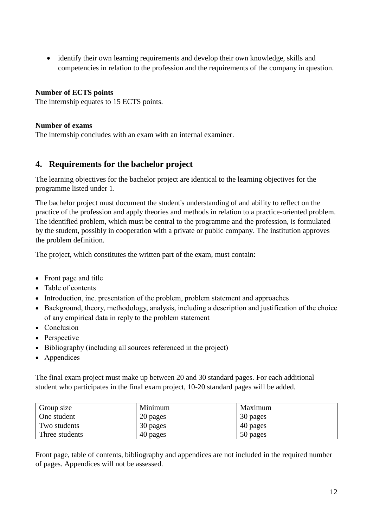identify their own learning requirements and develop their own knowledge, skills and competencies in relation to the profession and the requirements of the company in question.

#### **Number of ECTS points**

The internship equates to 15 ECTS points.

#### **Number of exams**

The internship concludes with an exam with an internal examiner.

#### <span id="page-11-0"></span>**4. Requirements for the bachelor project**

The learning objectives for the bachelor project are identical to the learning objectives for the programme listed under 1.

The bachelor project must document the student's understanding of and ability to reflect on the practice of the profession and apply theories and methods in relation to a practice-oriented problem. The identified problem, which must be central to the programme and the profession, is formulated by the student, possibly in cooperation with a private or public company. The institution approves the problem definition.

The project, which constitutes the written part of the exam, must contain:

- Front page and title
- Table of contents
- Introduction, inc. presentation of the problem, problem statement and approaches
- Background, theory, methodology, analysis, including a description and justification of the choice of any empirical data in reply to the problem statement
- Conclusion
- Perspective
- Bibliography (including all sources referenced in the project)
- Appendices

The final exam project must make up between 20 and 30 standard pages. For each additional student who participates in the final exam project, 10-20 standard pages will be added.

| Group size     | Minimum  | Maximum  |
|----------------|----------|----------|
| One student    | 20 pages | 30 pages |
| Two students   | 30 pages | 40 pages |
| Three students | 40 pages | 50 pages |

Front page, table of contents, bibliography and appendices are not included in the required number of pages. Appendices will not be assessed.